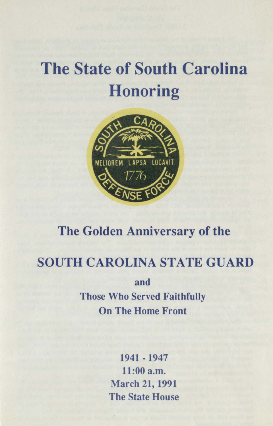# **The State of South Carolina Honoring**



## The Golden Anniversary of the

### SOUTH CAROLINA STATE GUARD

and Those Who Served Faithfully On The Home Front

> 1941 -1947 11:00 a.m. March 21, 1991 The State House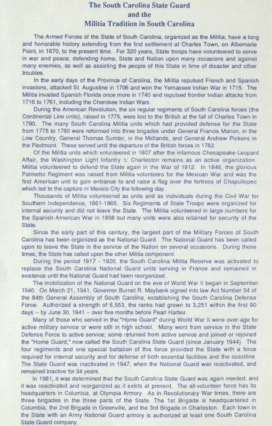### **The South Carolina State Guard and the Militia Tradition in South Carolina**

The Armed Forces of the State of South Carolina, organized as the Militia, have a long and honorable history extending from the first settlement at Charles Town, on Albemarle Point, in 1670, to the present time. For 320 years, State troops have volunteered to serve in war and peace, defending home, State and Nation upon many occasions and against many enemies, as well as assisting the people of this State in time of disaster and other troubles.

In the early days of the Province of Carolina, the Militia repulsed French and Spanish Invasions, attacked St. Augustine in 1706 and won the Yemassee Indian War in 1715. The Militia invaded Spanish Florida once more in 1740 and repulsed frontier Indian attacks from 1716 to 1761, including the Cherokee Indian Wars.

During the American Revolution, the six regular regiments of South Carolina forces (the Continental Line units), raised in 1775, were lost to the British at the fall of Charles Town in 1780. The many South Carolina Militia units which had provided defense for the State from 1775 to 1780 were reformed into three brigades under General Francis Marion, in the Low Country, General Thomas Sumter, in the Midlands, and General Andrew Pickens in the Piedmont. These served until the departure of the British forces in 1782.

Of the Militia units which volunteered in 1807 after the infamous Chesapeake-Leopard Affair, the Washington Light Infantry of Charleston remains as an active organization. Militia volunteered to defend the State again in the War of 1812. In 1846, the glorious Palmetto Regiment was raised from Militia volunteers for the Mexican War and was the first American unit to gain entrance to and raise a flag over the fortress of Chapultepec which led to the capture of Mexico City the following day.

Thousands of Militia volunteered as units and as individuals during the Civil War for Southern Independence, 1861 -1865. Six Regiments of State Troops were organized for internal security and did not leave the State. The Militia volunteered in large numbers for the Spanish-American War in 1898 but many units were also retained for security of the State.

Since the early part of this century, the largest part of the Military Forces of South Carolina has been organized as the National Guard. The National Guard has been called upon to leave the State in the service of the Nation on several occasions. During these times, the State has called upon the other Militia component.

During the period 1917 - 1920, the South Carolina Militia Reserve was activated to replace the South Carolina National Guard units serving in France and remained in existence until the National Guard had been reorganized.

The mobilization of the National Guard on the eve of World War II began in September 1940. On March 21, 1941 , Governor Burnet R. Maybank signed into law Act Number 54 of the 84th General Assembly of South Carolina. establishing the South Carolina Defense Force. Authorized a strength of 6,553, the ranks had grown to 3,251 within the first 90 days -- by June 30, 1941 -- over five months before Pearl Harbor.

Many of those who served in the "Home Guard" during World War II were over-age for active military service or were still in high school. Many went from service in the State Defense Force to active service; some returned from active service and joined or rejoined the "Home Guard," now called the South Carolina State Guard (since January 1944). The four regiments and one special battalion of this force provided the State with a force required for internal security and for defense of both essential facilities and the coastline. The State Guard was inactivated in 1947, when the National Guard was reactivated, and remained inactive for 34 years.

In 1981, it was determined that the South Carolina State Guard was again needed, and it was reactivated and reorganized as it exists at present. The all-volunteer force has its headquarters in Columbia, at Olympia Armory. As in Revolutionary War times, there are three brigades in the three parts of the State. The 1st Brigade is headquartered in Columbia, the 2nd Brigade in Greenville, and the 3rd Brigade in Charleston. Each town in the State with an Army National Guard armory is authorized at least one South Carolina State Guard company.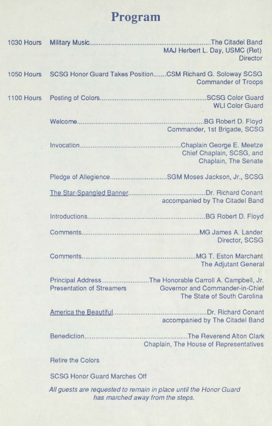## **Program**

|            | 1030 Hours Military Music                                                                             | The Citadel Band<br>MAJ Herbert L. Day, USMC (Ret)<br><b>Director</b>                                                     |
|------------|-------------------------------------------------------------------------------------------------------|---------------------------------------------------------------------------------------------------------------------------|
| 1050 Hours |                                                                                                       | SCSG Honor Guard Takes PositionCSM Richard G. Soloway SCSG<br><b>Commander of Troops</b>                                  |
| 1100 Hours |                                                                                                       | <b>WLI Color Guard</b>                                                                                                    |
|            |                                                                                                       | Commander, 1st Brigade, SCSG                                                                                              |
|            |                                                                                                       | Chief Chaplain, SCSG, and<br>Chaplain, The Senate                                                                         |
|            |                                                                                                       |                                                                                                                           |
|            |                                                                                                       | accompanied by The Citadel Band                                                                                           |
|            |                                                                                                       |                                                                                                                           |
|            |                                                                                                       | Director, SCSG                                                                                                            |
|            |                                                                                                       | <b>The Adjutant General</b>                                                                                               |
|            | <b>Presentation of Streamers</b>                                                                      | Principal AddressThe Honorable Carroll A. Campbell, Jr.<br>Governor and Commander-in-Chief<br>The State of South Carolina |
|            |                                                                                                       | accompanied by The Citadel Band                                                                                           |
|            |                                                                                                       | The Reverend Alton Clark<br>Chaplain, The House of Representatives                                                        |
|            | <b>Retire the Colors</b>                                                                              |                                                                                                                           |
|            | <b>SCSG Honor Guard Marches Off</b>                                                                   |                                                                                                                           |
|            | All guests are requested to remain in place until the Honor Guard<br>has marched away from the steps. |                                                                                                                           |